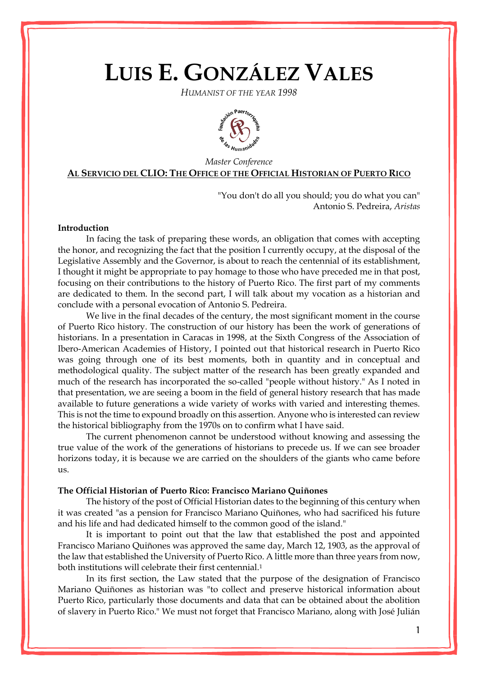# **LUIS E. GONZÁLEZ VALES**

*HUMANIST OF THE YEAR 1998*



## *Master Conference* **AL SERVICIO DEL CLIO: THE OFFICE OF THE OFFICIAL HISTORIAN OF PUERTO RICO**

"You don't do all you should; you do what you can" Antonio S. Pedreira, *Aristas*

## **Introduction**

In facing the task of preparing these words, an obligation that comes with accepting the honor, and recognizing the fact that the position I currently occupy, at the disposal of the Legislative Assembly and the Governor, is about to reach the centennial of its establishment, I thought it might be appropriate to pay homage to those who have preceded me in that post, focusing on their contributions to the history of Puerto Rico. The first part of my comments are dedicated to them. In the second part, I will talk about my vocation as a historian and conclude with a personal evocation of Antonio S. Pedreira.

We live in the final decades of the century, the most significant moment in the course of Puerto Rico history. The construction of our history has been the work of generations of historians. In a presentation in Caracas in 1998, at the Sixth Congress of the Association of Ibero-American Academies of History, I pointed out that historical research in Puerto Rico was going through one of its best moments, both in quantity and in conceptual and methodological quality. The subject matter of the research has been greatly expanded and much of the research has incorporated the so-called "people without history." As I noted in that presentation, we are seeing a boom in the field of general history research that has made available to future generations a wide variety of works with varied and interesting themes. This is not the time to expound broadly on this assertion. Anyone who is interested can review the historical bibliography from the 1970s on to confirm what I have said.

The current phenomenon cannot be understood without knowing and assessing the true value of the work of the generations of historians to precede us. If we can see broader horizons today, it is because we are carried on the shoulders of the giants who came before us.

#### **The Official Historian of Puerto Rico: Francisco Mariano Quiñones**

The history of the post of Official Historian dates to the beginning of this century when it was created "as a pension for Francisco Mariano Quiñones, who had sacrificed his future and his life and had dedicated himself to the common good of the island."

It is important to point out that the law that established the post and appointed Francisco Mariano Quiñones was approved the same day, March 12, 1903, as the approval of the law that established the University of Puerto Rico. A little more than three years from now, both institutions will celebrate their first centennial.<sup>1</sup>

In its first section, the Law stated that the purpose of the designation of Francisco Mariano Quiñones as historian was "to collect and preserve historical information about Puerto Rico, particularly those documents and data that can be obtained about the abolition of slavery in Puerto Rico." We must not forget that Francisco Mariano, along with José Julián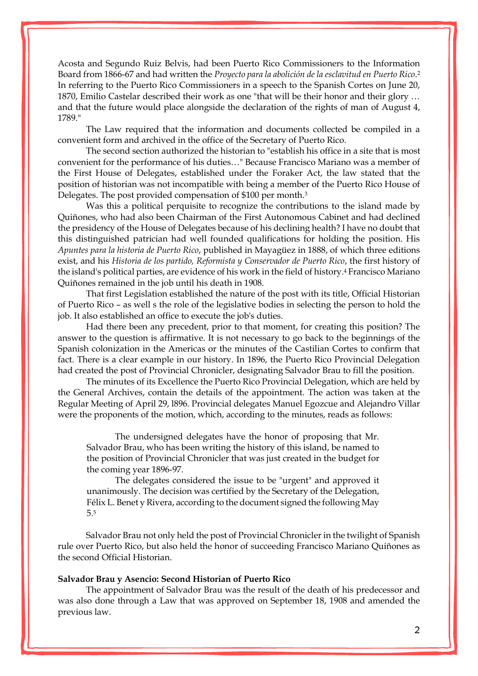Acosta and Segundo Ruiz Belvis, had been Puerto Rico Commissioners to the Information Board from 1866-67 and had written the *Proyecto para la abolición de la esclavitud en Puerto Rico*. 2 In referring to the Puerto Rico Commissioners in a speech to the Spanish Cortes on June 20, 1870, Emilio Castelar described their work as one "that will be their honor and their glory … and that the future would place alongside the declaration of the rights of man of August 4, 1789."

The Law required that the information and documents collected be compiled in a convenient form and archived in the office of the Secretary of Puerto Rico.

The second section authorized the historian to "establish his office in a site that is most convenient for the performance of his duties…" Because Francisco Mariano was a member of the First House of Delegates, established under the Foraker Act, the law stated that the position of historian was not incompatible with being a member of the Puerto Rico House of Delegates. The post provided compensation of \$100 per month.<sup>3</sup>

Was this a political perquisite to recognize the contributions to the island made by Quiñones, who had also been Chairman of the First Autonomous Cabinet and had declined the presidency of the House of Delegates because of his declining health? I have no doubt that this distinguished patrician had well founded qualifications for holding the position. His *Apuntes para la historia de Puerto Rico*, published in [Mayagüez](http://www.enciclopediapr.org/ing/article.cfm?ref=08021702) in 1888, of which three editions exist, and his *Historia de los partido, Reformista y Conservador de Puerto Rico*, the first history of the island's political parties, are evidence of his work in the field of history.<sup>4</sup> Francisco Mariano Quiñones remained in the job until his death in 1908.

That first Legislation established the nature of the post with its title, Official Historian of Puerto Rico – as well s the role of the legislative bodies in selecting the person to hold the job. It also established an office to execute the job's duties.

Had there been any precedent, prior to that moment, for creating this position? The answer to the question is affirmative. It is not necessary to go back to the beginnings of the Spanish colonization in the Americas or the minutes of the Castilian Cortes to confirm that fact. There is a clear example in our history. In 1896, the Puerto Rico Provincial Delegation had created the post of Provincial Chronicler, designating Salvador Brau to fill the position.

The minutes of its Excellence the Puerto Rico Provincial Delegation, which are held by the General Archives, contain the details of the appointment. The action was taken at the Regular Meeting of April 29, l896. Provincial delegates Manuel Egozcue and Alejandro Villar were the proponents of the motion, which, according to the minutes, reads as follows:

The undersigned delegates have the honor of proposing that Mr. Salvador Brau, who has been writing the history of this island, be named to the position of Provincial Chronicler that was just created in the budget for the coming year 1896-97.

The delegates considered the issue to be "urgent" and approved it unanimously. The decision was certified by the Secretary of the Delegation, Félix L. Benet y Rivera, according to the document signed the following May 5.<sup>5</sup>

Salvador Brau not only held the post of Provincial Chronicler in the twilight of Spanish rule over Puerto Rico, but also held the honor of succeeding Francisco Mariano Quiñones as the second Official Historian.

#### **Salvador Brau y Asencio: Second Historian of Puerto Rico**

The appointment of Salvador Brau was the result of the death of his predecessor and was also done through a Law that was approved on September 18, 1908 and amended the previous law.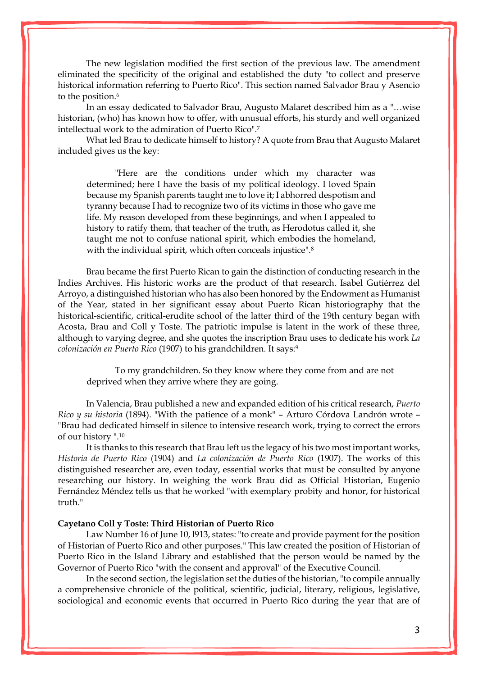The new legislation modified the first section of the previous law. The amendment eliminated the specificity of the original and established the duty "to collect and preserve historical information referring to Puerto Rico". This section named Salvador Brau y Asencio to the position.<sup>6</sup>

In an essay dedicated to Salvador Brau, Augusto Malaret described him as a "…wise historian, (who) has known how to offer, with unusual efforts, his sturdy and well organized intellectual work to the admiration of Puerto Rico".<sup>7</sup>

What led Brau to dedicate himself to history? A quote from Brau that Augusto Malaret included gives us the key:

"Here are the conditions under which my character was determined; here I have the basis of my political ideology. I loved Spain because my Spanish parents taught me to love it; I abhorred despotism and tyranny because I had to recognize two of its victims in those who gave me life. My reason developed from these beginnings, and when I appealed to history to ratify them, that teacher of the truth, as Herodotus called it, she taught me not to confuse national spirit, which embodies the homeland, with the individual spirit, which often conceals injustice".<sup>8</sup>

Brau became the first Puerto Rican to gain the distinction of conducting research in the Indies Archives. His historic works are the product of that research. Isabel Gutiérrez del [Arroyo,](http://www.enciclopediapr.org/ing/article.cfm?ref=09032504) a distinguished historian who has also been honored by the Endowment as Humanist of the Year, stated in her significant essay about Puerto Rican historiography that the historical-scientific, critical-erudite school of the latter third of the 19th century began with Acosta, Brau and Coll y Toste. The patriotic impulse is latent in the work of these three, although to varying degree, and she quotes the inscription Brau uses to dedicate his work *La colonización en Puerto Rico* (1907) to his grandchildren. It says:<sup>9</sup>

To my grandchildren. So they know where they come from and are not deprived when they arrive where they are going.

In Valencia, Brau published a new and expanded edition of his critical research, *Puerto Rico y su historia* (1894). "With the patience of a monk" – Arturo Córdova Landrón wrote – "Brau had dedicated himself in silence to intensive research work, trying to correct the errors of our history ".<sup>10</sup>

It is thanks to this research that Brau left us the legacy of his two most important works, *Historia de Puerto Rico* (1904) and *La colonización de Puerto Rico* (1907). The works of this distinguished researcher are, even today, essential works that must be consulted by anyone researching our history. In weighing the work Brau did as Official Historian, Eugenio Fernández Méndez tells us that he worked "with exemplary probity and honor, for historical truth."

#### **Cayetano Coll y Toste: Third Historian of Puerto Rico**

Law Number 16 of June 10, l913, states: "to create and provide payment for the position of Historian of Puerto Rico and other purposes." This law created the position of Historian of Puerto Rico in the Island Library and established that the person would be named by the Governor of Puerto Rico "with the consent and approval" of the Executive Council.

In the second section, the legislation set the duties of the historian, "to compile annually a comprehensive chronicle of the political, scientific, judicial, literary, religious, legislative, sociological and economic events that occurred in Puerto Rico during the year that are of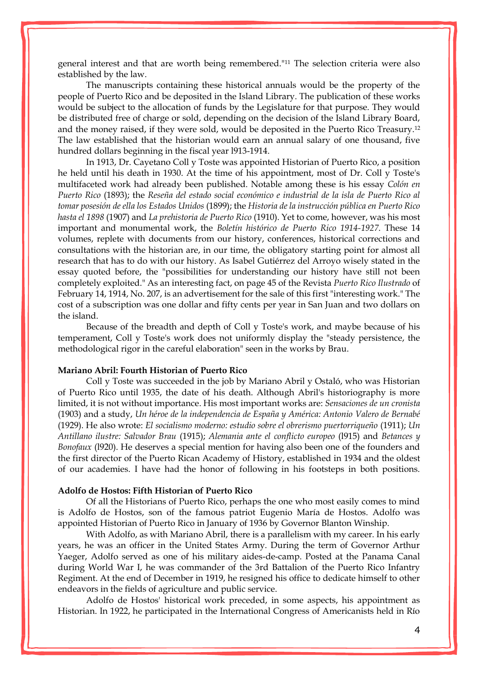general interest and that are worth being remembered."<sup>11</sup> The selection criteria were also established by the law.

The manuscripts containing these historical annuals would be the property of the people of Puerto Rico and be deposited in the Island Library. The publication of these works would be subject to the allocation of funds by the Legislature for that purpose. They would be distributed free of charge or sold, depending on the decision of the Island Library Board, and the money raised, if they were sold, would be deposited in the Puerto Rico Treasury.<sup>12</sup> The law established that the historian would earn an annual salary of one thousand, five hundred dollars beginning in the fiscal year l913-1914.

In 1913, Dr. Cayetano Coll y Toste was appointed Historian of Puerto Rico, a position he held until his death in 1930. At the time of his appointment, most of Dr. Coll y Toste's multifaceted work had already been published. Notable among these is his essay *Colón en Puerto Rico* (1893); the *Reseña del estado social económico e industrial de la isla de Puerto Rico al tomar posesión de ella los Estados Unidos* (1899); the *Historia de la instrucción pública en Puerto Rico hasta el 1898* (1907) and *La prehistoria de Puerto Rico* (1910). Yet to come, however, was his most important and monumental work, the *Boletín histórico de Puerto Rico 1914-1927*. These 14 volumes, replete with documents from our history, conferences, historical corrections and consultations with the historian are, in our time, the obligatory starting point for almost all research that has to do with our history. As Isabel Gutiérrez del Arroyo wisely stated in the essay quoted before, the "possibilities for understanding our history have still not been completely exploited." As an interesting fact, on page 45 of the Revista *Puerto Rico Ilustrado* of February 14, 1914, No. 207, is an advertisement for the sale of this first "interesting work." The cost of a subscription was one dollar and fifty cents per year in San Juan and two dollars on the island.

Because of the breadth and depth of Coll y Toste's work, and maybe because of his temperament, Coll y Toste's work does not uniformly display the "steady persistence, the methodological rigor in the careful elaboration" seen in the works by Brau.

## **Mariano Abril: Fourth Historian of Puerto Rico**

Coll y Toste was succeeded in the job by Mariano Abril y Ostaló, who was Historian of Puerto Rico until 1935, the date of his death. Although Abril's historiography is more limited, it is not without importance. His most important works are: *Sensaciones de un cronista*  (1903) and a study, *Un héroe de la independencia de España y América: Antonio Valero de Bernabé* (1929). He also wrote: *El socialismo moderno: estudio sobre el obrerismo puertorriqueño* (1911); *Un Antillano ilustre: Salvador Brau* (1915); *Alemania ante el conflicto europeo* (l915) and *Betances y Bonofaux* (l920). He deserves a special mention for having also been one of the founders and the first director of the Puerto Rican Academy of History, established in 1934 and the oldest of our academies. I have had the honor of following in his footsteps in both positions.

## **Adolfo de Hostos: Fifth Historian of Puerto Rico**

Of all the Historians of Puerto Rico, perhaps the one who most easily comes to mind is Adolfo de Hostos, son of the famous patriot Eugenio María de Hostos. Adolfo was appointed Historian of Puerto Rico in January of 1936 by Governor Blanton Winship.

With Adolfo, as with Mariano Abril, there is a parallelism with my career. In his early years, he was an officer in the United States Army. During the term of Governor Arthur Yaeger, Adolfo served as one of his military aides-de-camp. Posted at the Panama Canal during World War I, he was commander of the 3rd Battalion of the Puerto Rico Infantry Regiment. At the end of December in 1919, he resigned his office to dedicate himself to other endeavors in the fields of agriculture and public service.

Adolfo de Hostos' historical work preceded, in some aspects, his appointment as Historian. In 1922, he participated in the International Congress of Americanists held in Río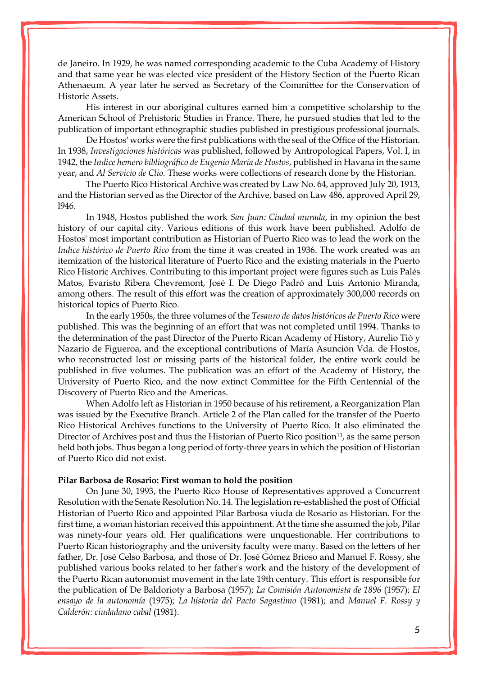de Janeiro. In 1929, he was named corresponding academic to the Cuba Academy of History and that same year he was elected vice president of the History Section of the Puerto Rican Athenaeum. A year later he served as Secretary of the Committee for the Conservation of Historic Assets.

His interest in our aboriginal cultures earned him a competitive scholarship to the American School of Prehistoric Studies in France. There, he pursued studies that led to the publication of important ethnographic studies published in prestigious professional journals.

De Hostos' works were the first publications with the seal of the Office of the Historian. In 1938, *Investigaciones históricas* was published, followed by Antropological Papers, Vol. I, in 1942, the *Indice hemero bibliográfico de Eugenio María de Hostos*, published in Havana in the same year, and *Al Servicio de Clio.* These works were collections of research done by the Historian.

The Puerto Rico Historical Archive was created by Law No. 64, approved July 20, 1913, and the Historian served as the Director of the Archive, based on Law 486, approved April 29, l946.

In 1948, Hostos published the work *San Juan: Ciudad murada*, in my opinion the best history of our capital city. Various editions of this work have been published. Adolfo de Hostos' most important contribution as Historian of Puerto Rico was to lead the work on the *Indice histórico de Puerto Rico* from the time it was created in 1936. The work created was an itemization of the historical literature of Puerto Rico and the existing materials in the Puerto Rico Historic Archives. Contributing to this important project were figures such as [Luis Palés](http://www.enciclopediapr.org/ing/article.cfm?ref=12050603)  [Matos,](http://www.enciclopediapr.org/ing/article.cfm?ref=12050603) Evaristo Ribera Chevremont, José I. De Diego Padró and Luis Antonio Miranda, among others. The result of this effort was the creation of approximately 300,000 records on historical topics of Puerto Rico.

In the early 1950s, the three volumes of the *Tesauro de datos históricos de Puerto Rico* were published. This was the beginning of an effort that was not completed until 1994. Thanks to the determination of the past Director of the Puerto Rican Academy of History, Aurelio Tió y Nazario de Figueroa, and the exceptional contributions of María Asunción Vda. de Hostos, who reconstructed lost or missing parts of the historical folder, the entire work could be published in five volumes. The publication was an effort of the Academy of History, the University of Puerto Rico, and the now extinct Committee for the Fifth Centennial of the Discovery of Puerto Rico and the Americas.

When Adolfo left as Historian in 1950 because of his retirement, a Reorganization Plan was issued by the Executive Branch. Article 2 of the Plan called for the transfer of the Puerto Rico Historical Archives functions to the University of Puerto Rico. It also eliminated the Director of Archives post and thus the Historian of Puerto Rico position13, as the same person held both jobs. Thus began a long period of forty-three years in which the position of Historian of Puerto Rico did not exist.

### **Pilar Barbosa de Rosario: First woman to hold the position**

On June 30, 1993, the Puerto Rico House of Representatives approved a Concurrent Resolution with the Senate Resolution No. 14. The legislation re-established the post of Official Historian of Puerto Rico and appointed Pilar Barbosa viuda de Rosario as Historian. For the first time, a woman historian received this appointment. At the time she assumed the job, Pilar was ninety-four years old. Her qualifications were unquestionable. Her contributions to Puerto Rican historiography and the university faculty were many. Based on the letters of her father, Dr. José Celso Barbosa, and those of Dr. José Gómez Brioso and Manuel F. Rossy, she published various books related to her father's work and the history of the development of the Puerto Rican autonomist movement in the late 19th century. This effort is responsible for the publication of De Baldorioty a Barbosa (1957); *La Comisión Autonomista de 1896* (1957); *El ensayo de la autonomía* (1975); *La historia del Pacto Sagastimo* (1981); and *Manuel F. Rossy y Calderón: ciudadano cabal* (1981).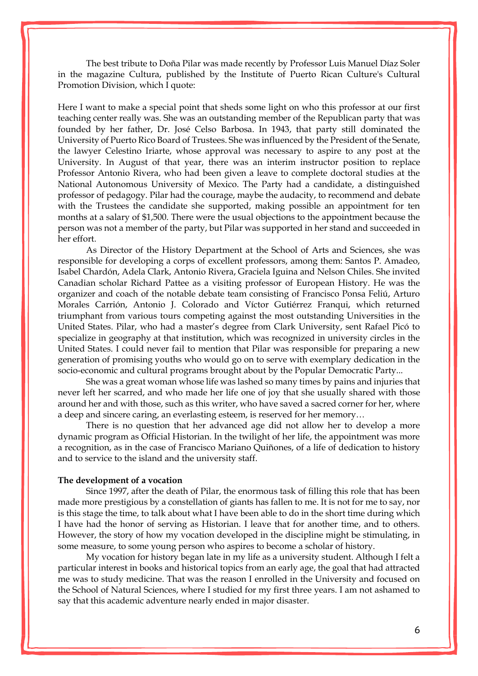The best tribute to Doña Pilar was made recently by Professor Luis Manuel Díaz Soler in the magazine Cultura, published by the Institute of Puerto Rican Culture's Cultural Promotion Division, which I quote:

Here I want to make a special point that sheds some light on who this professor at our first teaching center really was. She was an outstanding member of the Republican party that was founded by her father, Dr. José Celso Barbosa. In 1943, that party still dominated the University of Puerto Rico Board of Trustees. She was influenced by the President of the Senate, the lawyer Celestino Iriarte, whose approval was necessary to aspire to any post at the University. In August of that year, there was an interim instructor position to replace Professor Antonio Rivera, who had been given a leave to complete doctoral studies at the National Autonomous University of Mexico. The Party had a candidate, a distinguished professor of pedagogy. Pilar had the courage, maybe the audacity, to recommend and debate with the Trustees the candidate she supported, making possible an appointment for ten months at a salary of \$1,500. There were the usual objections to the appointment because the person was not a member of the party, but Pilar was supported in her stand and succeeded in her effort.

As Director of the History Department at the School of Arts and Sciences, she was responsible for developing a corps of excellent professors, among them: Santos P. Amadeo, Isabel Chardón, Adela Clark, Antonio Rivera, Graciela Iguina and Nelson Chiles. She invited Canadian scholar Richard Pattee as a visiting professor of European History. He was the organizer and coach of the notable debate team consisting of Francisco Ponsa Feliú, Arturo Morales Carrión, Antonio J. Colorado and Víctor Gutiérrez Franqui, which returned triumphant from various tours competing against the most outstanding Universities in the United States. Pilar, who had a master's degree from Clark University, sent Rafael Picó to specialize in geography at that institution, which was recognized in university circles in the United States. I could never fail to mention that Pilar was responsible for preparing a new generation of promising youths who would go on to serve with exemplary dedication in the socio-economic and cultural programs brought about by the Popular Democratic Party...

She was a great woman whose life was lashed so many times by pains and injuries that never left her scarred, and who made her life one of joy that she usually shared with those around her and with those, such as this writer, who have saved a sacred corner for her, where a deep and sincere caring, an everlasting esteem, is reserved for her memory…

There is no question that her advanced age did not allow her to develop a more dynamic program as Official Historian. In the twilight of her life, the appointment was more a recognition, as in the case of Francisco Mariano Quiñones, of a life of dedication to history and to service to the island and the university staff.

#### **The development of a vocation**

Since 1997, after the death of Pilar, the enormous task of filling this role that has been made more prestigious by a constellation of giants has fallen to me. It is not for me to say, nor is this stage the time, to talk about what I have been able to do in the short time during which I have had the honor of serving as Historian. I leave that for another time, and to others. However, the story of how my vocation developed in the discipline might be stimulating, in some measure, to some young person who aspires to become a scholar of history.

My vocation for history began late in my life as a university student. Although I felt a particular interest in books and historical topics from an early age, the goal that had attracted me was to study medicine. That was the reason I enrolled in the University and focused on the School of Natural Sciences, where I studied for my first three years. I am not ashamed to say that this academic adventure nearly ended in major disaster.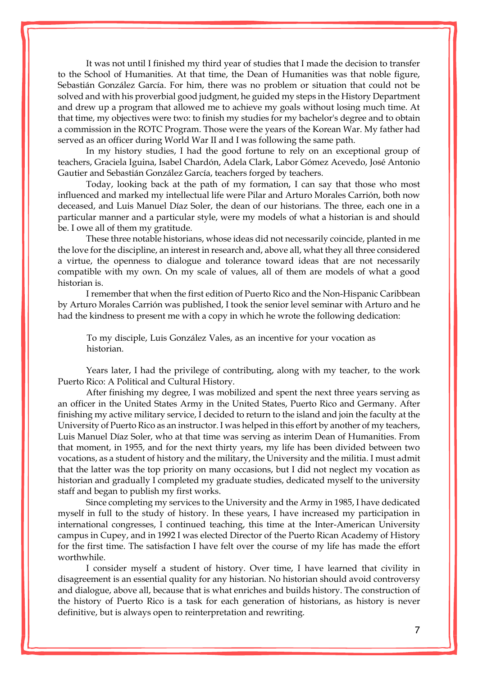It was not until I finished my third year of studies that I made the decision to transfer to the School of Humanities. At that time, the Dean of Humanities was that noble figure, Sebastián González García. For him, there was no problem or situation that could not be solved and with his proverbial good judgment, he guided my steps in the History Department and drew up a program that allowed me to achieve my goals without losing much time. At that time, my objectives were two: to finish my studies for my bachelor's degree and to obtain a commission in the ROTC Program. Those were the years of the Korean War. My father had served as an officer during World War II and I was following the same path.

In my history studies, I had the good fortune to rely on an exceptional group of teachers, Graciela Iguina, Isabel Chardón, Adela Clark, Labor Gómez Acevedo, José Antonio Gautier and Sebastián González García, teachers forged by teachers.

Today, looking back at the path of my formation, I can say that those who most influenced and marked my intellectual life were Pilar and Arturo Morales Carrión, both now deceased, and Luis Manuel Díaz Soler, the dean of our historians. The three, each one in a particular manner and a particular style, were my models of what a historian is and should be. I owe all of them my gratitude.

These three notable historians, whose ideas did not necessarily coincide, planted in me the love for the discipline, an interest in research and, above all, what they all three considered a virtue, the openness to dialogue and tolerance toward ideas that are not necessarily compatible with my own. On my scale of values, all of them are models of what a good historian is.

I remember that when the first edition of Puerto Rico and the Non-Hispanic Caribbean by Arturo Morales Carrión was published, I took the senior level seminar with Arturo and he had the kindness to present me with a copy in which he wrote the following dedication:

To my disciple, Luis González Vales, as an incentive for your vocation as historian.

Years later, I had the privilege of contributing, along with my teacher, to the work Puerto Rico: A Political and Cultural History.

After finishing my degree, I was mobilized and spent the next three years serving as an officer in the United States Army in the United States, Puerto Rico and Germany. After finishing my active military service, I decided to return to the island and join the faculty at the University of Puerto Rico as an instructor. I was helped in this effort by another of my teachers, Luis Manuel Díaz Soler, who at that time was serving as interim Dean of Humanities. From that moment, in 1955, and for the next thirty years, my life has been divided between two vocations, as a student of history and the military, the University and the militia. I must admit that the latter was the top priority on many occasions, but I did not neglect my vocation as historian and gradually I completed my graduate studies, dedicated myself to the university staff and began to publish my first works.

Since completing my services to the University and the Army in 1985, I have dedicated myself in full to the study of history. In these years, I have increased my participation in international congresses, I continued teaching, this time at the Inter-American University campus in Cupey, and in 1992 I was elected Director of the Puerto Rican Academy of History for the first time. The satisfaction I have felt over the course of my life has made the effort worthwhile.

I consider myself a student of history. Over time, I have learned that civility in disagreement is an essential quality for any historian. No historian should avoid controversy and dialogue, above all, because that is what enriches and builds history. The construction of the history of Puerto Rico is a task for each generation of historians, as history is never definitive, but is always open to reinterpretation and rewriting.